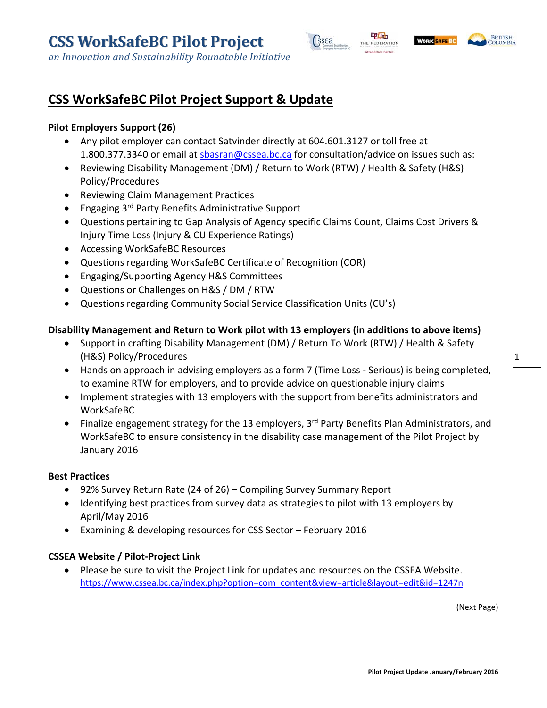



## **CSS WorkSafeBC Pilot Project Support & Update**

#### **Pilot Employers Support (26)**

- Any pilot employer can contact Satvinder directly at 604.601.3127 or toll free at 1.800.377.3340 or email at sbasran@cssea.bc.ca for consultation/advice on issues such as:
- Reviewing Disability Management (DM) / Return to Work (RTW) / Health & Safety (H&S) Policy/Procedures
- Reviewing Claim Management Practices
- **•** Engaging 3<sup>rd</sup> Party Benefits Administrative Support
- Questions pertaining to Gap Analysis of Agency specific Claims Count, Claims Cost Drivers & Injury Time Loss (Injury & CU Experience Ratings)
- Accessing WorkSafeBC Resources
- Questions regarding WorkSafeBC Certificate of Recognition (COR)
- Engaging/Supporting Agency H&S Committees
- Questions or Challenges on H&S / DM / RTW
- Questions regarding Community Social Service Classification Units (CU's)

#### **Disability Management and Return to Work pilot with 13 employers (in additions to above items)**

- Support in crafting Disability Management (DM) / Return To Work (RTW) / Health & Safety (H&S) Policy/Procedures
- Hands on approach in advising employers as a form 7 (Time Loss Serious) is being completed, to examine RTW for employers, and to provide advice on questionable injury claims
- Implement strategies with 13 employers with the support from benefits administrators and WorkSafeBC
- Finalize engagement strategy for the 13 employers,  $3<sup>rd</sup>$  Party Benefits Plan Administrators, and WorkSafeBC to ensure consistency in the disability case management of the Pilot Project by January 2016

#### **Best Practices**

- 92% Survey Return Rate (24 of 26) Compiling Survey Summary Report
- Identifying best practices from survey data as strategies to pilot with 13 employers by April/May 2016
- Examining & developing resources for CSS Sector February 2016

#### **CSSEA Website / Pilot‐Project Link**

 Please be sure to visit the Project Link for updates and resources on the CSSEA Website. https://www.cssea.bc.ca/index.php?option=com\_content&view=article&layout=edit&id=1247n

(Next Page)